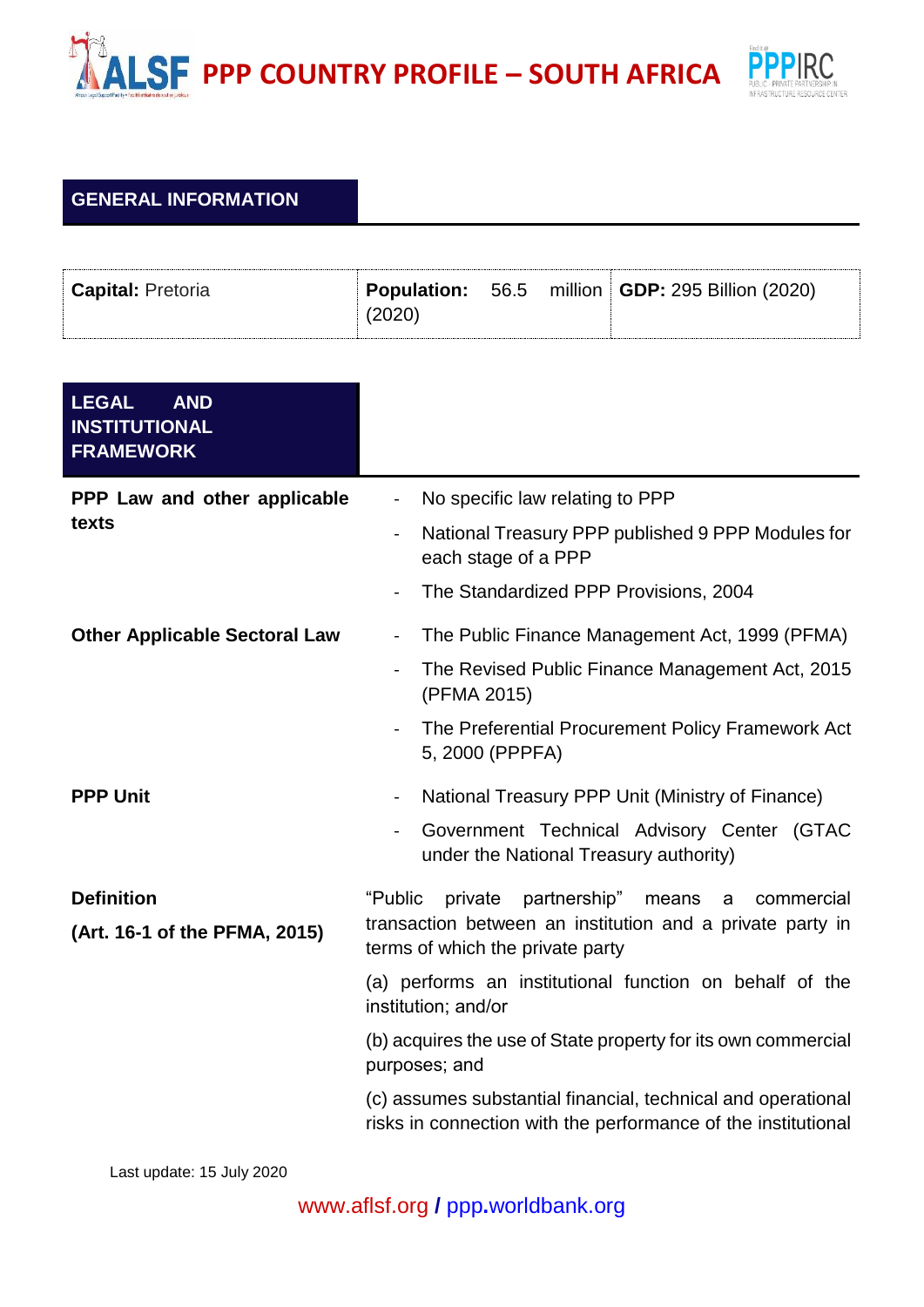## **PROFILE** – SOUTH AFRICA



## **GENERAL INFORMATION**

| <b>Capital: Pretoria</b> |        |  | <b>Population:</b> 56.5 million <b>GDP:</b> 295 Billion (2020) |
|--------------------------|--------|--|----------------------------------------------------------------|
|                          | (2020) |  |                                                                |

| <b>LEGAL</b><br><b>AND</b><br><b>INSTITUTIONAL</b><br><b>FRAMEWORK</b> |                                                                                                                               |  |  |  |
|------------------------------------------------------------------------|-------------------------------------------------------------------------------------------------------------------------------|--|--|--|
| PPP Law and other applicable<br>texts                                  | No specific law relating to PPP<br>$\overline{\phantom{0}}$                                                                   |  |  |  |
|                                                                        | National Treasury PPP published 9 PPP Modules for<br>each stage of a PPP                                                      |  |  |  |
|                                                                        | The Standardized PPP Provisions, 2004                                                                                         |  |  |  |
| <b>Other Applicable Sectoral Law</b>                                   | The Public Finance Management Act, 1999 (PFMA)<br>$\blacksquare$                                                              |  |  |  |
|                                                                        | The Revised Public Finance Management Act, 2015<br>(PFMA 2015)                                                                |  |  |  |
|                                                                        | The Preferential Procurement Policy Framework Act<br>5, 2000 (PPPFA)                                                          |  |  |  |
| <b>PPP Unit</b>                                                        | National Treasury PPP Unit (Ministry of Finance)                                                                              |  |  |  |
|                                                                        | Government Technical Advisory Center (GTAC<br>under the National Treasury authority)                                          |  |  |  |
| <b>Definition</b>                                                      | "Public<br>private<br>partnership"<br>means<br>commercial<br>a                                                                |  |  |  |
| (Art. 16-1 of the PFMA, 2015)                                          | transaction between an institution and a private party in<br>terms of which the private party                                 |  |  |  |
|                                                                        | (a) performs an institutional function on behalf of the<br>institution; and/or                                                |  |  |  |
|                                                                        | (b) acquires the use of State property for its own commercial<br>purposes; and                                                |  |  |  |
|                                                                        | (c) assumes substantial financial, technical and operational<br>risks in connection with the performance of the institutional |  |  |  |

Last update: 15 July 2020

[www.aflsf.org](http://www.aflsf.org/) **/** ppp**.**[worldbank.org](https://ppp.worldbank.org/public-private-partnership/)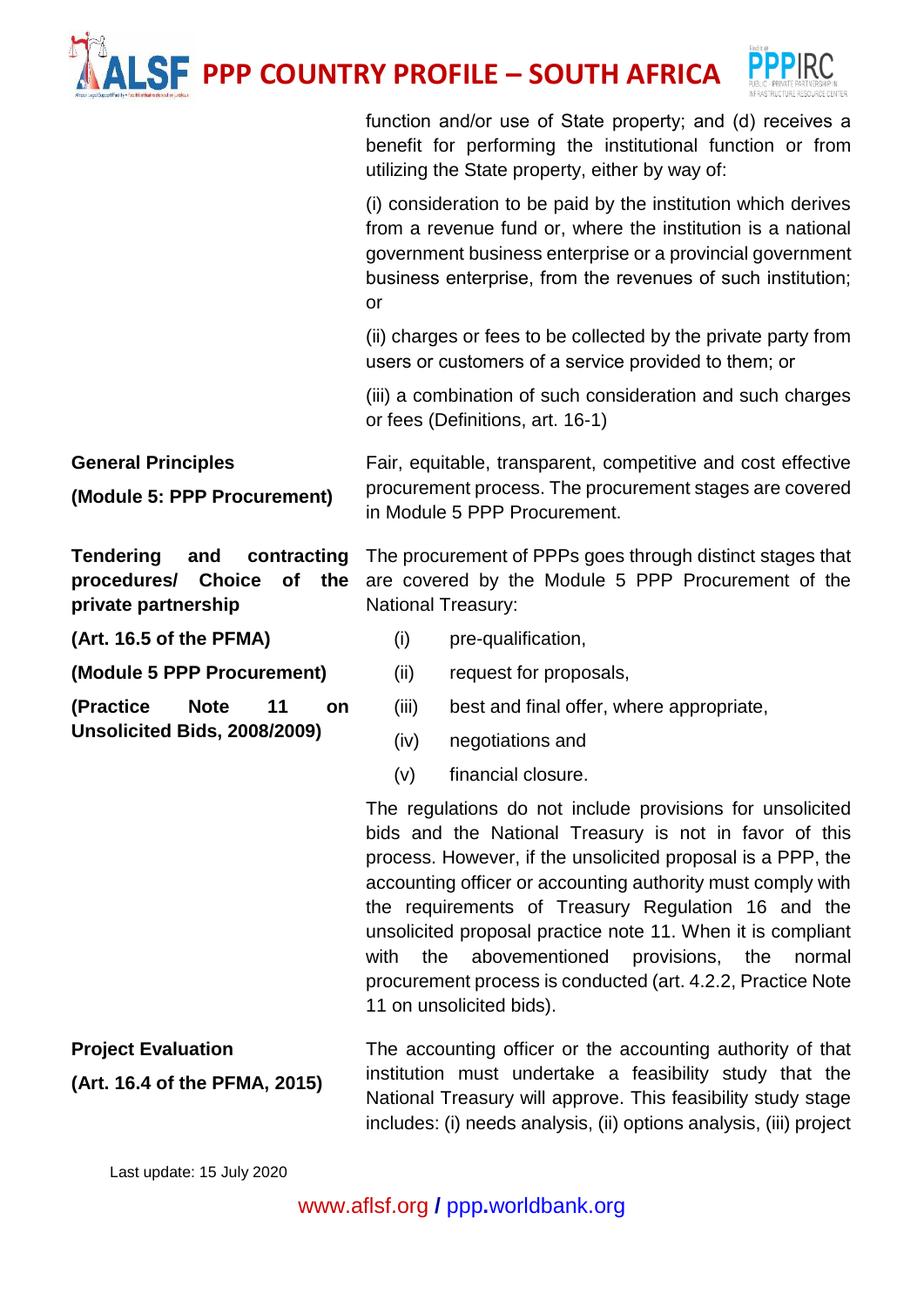## **PPP COUNTRY PROFILE – SOUTH AFRICA**



function and/or use of State property; and (d) receives a benefit for performing the institutional function or from utilizing the State property, either by way of:

(i) consideration to be paid by the institution which derives from a revenue fund or, where the institution is a national government business enterprise or a provincial government business enterprise, from the revenues of such institution; or

(ii) charges or fees to be collected by the private party from users or customers of a service provided to them; or

(iii) a combination of such consideration and such charges or fees (Definitions, art. 16-1)

**General Principles (Module 5: PPP Procurement)** Fair, equitable, transparent, competitive and cost effective procurement process. The procurement stages are covered in Module 5 PPP Procurement.

**Tendering and contracting procedures/ Choice of the private partnership**

The procurement of PPPs goes through distinct stages that are covered by the Module 5 PPP Procurement of the National Treasury:

**(Art. 16.5 of the PFMA)**

**(Module 5 PPP Procurement)**

**(Practice Note 11 on Unsolicited Bids, 2008/2009)**

(i) pre-qualification,

(ii) request for proposals,

(iii) best and final offer, where appropriate,

(iv) negotiations and

(v) financial closure.

The regulations do not include provisions for unsolicited bids and the National Treasury is not in favor of this process. However, if the unsolicited proposal is a PPP, the accounting officer or accounting authority must comply with the requirements of Treasury Regulation 16 and the unsolicited proposal practice note 11. When it is compliant with the abovementioned provisions, the normal procurement process is conducted (art. 4.2.2, Practice Note 11 on unsolicited bids).

**Project Evaluation (Art. 16.4 of the PFMA, 2015)** The accounting officer or the accounting authority of that institution must undertake a feasibility study that the National Treasury will approve. This feasibility study stage includes: (i) needs analysis, (ii) options analysis, (iii) project

Last update: 15 July 2020